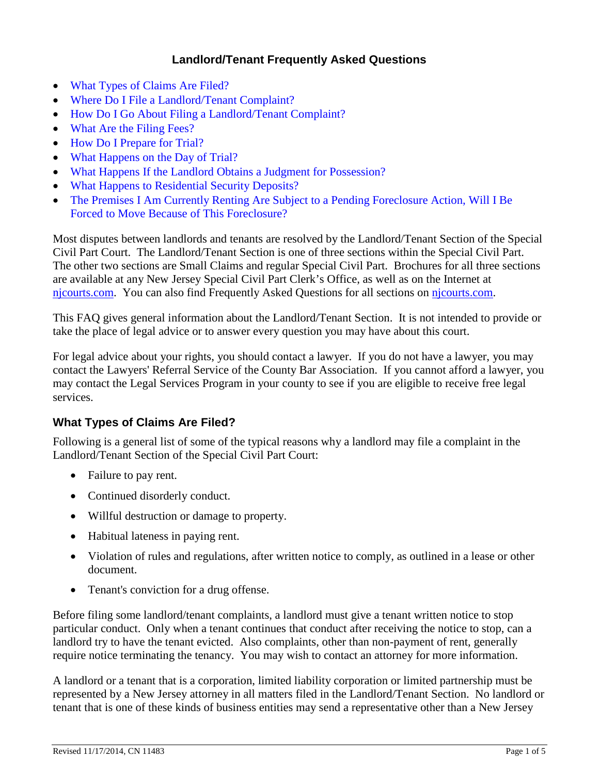## **Landlord/Tenant Frequently Asked Questions**

- [What Types of Claims Are Filed?](#page-0-0)
- [Where Do I File a Landlord/Tenant Complaint?](#page-1-0)
- How Do I Go About Filing a [Landlord/Tenant Complaint?](#page-1-1)
- [What Are the Filing Fees?](#page-1-2)
- [How Do I Prepare for Trial?](#page-1-3)
- [What Happens on the Day of Trial?](#page-2-0)
- [What Happens If the Landlord Obtains a](#page-3-0) Judgment for Possession?
- [What Happens to Residential Security Deposits?](#page-4-0)
- The Premises I Am Currently Renting Are Subject to a Pending Foreclosure Action, Will I Be [Forced to Move Because of This Foreclosure?](#page-4-1)

Most disputes between landlords and tenants are resolved by the Landlord/Tenant Section of the Special Civil Part Court. The Landlord/Tenant Section is one of three sections within the Special Civil Part. The other two sections are Small Claims and regular Special Civil Part. Brochures for all three sections are available at any New Jersey Special Civil Part Clerk's Office, as well as on the Internet at [njcourts.com.](http://www.judiciary.state.nj.us/prose/#civil) You can also find Frequently Asked Questions for all sections on [njcourts.com.](http://www.judiciary.state.nj.us/prose/#civil)

This FAQ gives general information about the Landlord/Tenant Section. It is not intended to provide or take the place of legal advice or to answer every question you may have about this court.

For legal advice about your rights, you should contact a lawyer. If you do not have a lawyer, you may contact the Lawyers' Referral Service of the County Bar Association. If you cannot afford a lawyer, you may contact the Legal Services Program in your county to see if you are eligible to receive free legal services.

### <span id="page-0-0"></span>**What Types of Claims Are Filed?**

Following is a general list of some of the typical reasons why a landlord may file a complaint in the Landlord/Tenant Section of the Special Civil Part Court:

- Failure to pay rent.
- Continued disorderly conduct.
- Willful destruction or damage to property.
- Habitual lateness in paying rent.
- Violation of rules and regulations, after written notice to comply, as outlined in a lease or other document.
- Tenant's conviction for a drug offense.

Before filing some landlord/tenant complaints, a landlord must give a tenant written notice to stop particular conduct. Only when a tenant continues that conduct after receiving the notice to stop, can a landlord try to have the tenant evicted. Also complaints, other than non-payment of rent, generally require notice terminating the tenancy. You may wish to contact an attorney for more information.

A landlord or a tenant that is a corporation, limited liability corporation or limited partnership must be represented by a New Jersey attorney in all matters filed in the Landlord/Tenant Section. No landlord or tenant that is one of these kinds of business entities may send a representative other than a New Jersey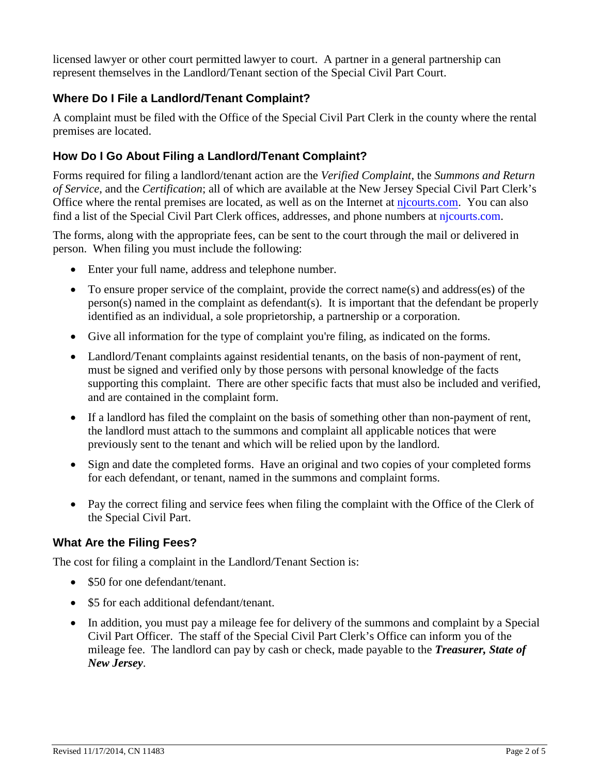licensed lawyer or other court permitted lawyer to court. A partner in a general partnership can represent themselves in the Landlord/Tenant section of the Special Civil Part Court.

# <span id="page-1-0"></span>**Where Do I File a Landlord/Tenant Complaint?**

A complaint must be filed with the Office of the Special Civil Part Clerk in the county where the rental premises are located.

# <span id="page-1-1"></span>**How Do I Go About Filing a Landlord/Tenant Complaint?**

Forms required for filing a landlord/tenant action are the *Verified Complaint*, the *Summons and Return of Service*, and the *Certification*; all of which are available at the New Jersey Special Civil Part Clerk's Office where the rental premises are located, as well as on the Internet at [njcourts.com.](http://www.judiciary.state.nj.us/prose/#landtent) You can also find a list of the Special Civil Part Clerk offices, addresses, and phone numbers at [njcourts.com.](http://www.judiciary.state.nj.us/prose/10150_spcclerkofc.pdf)

The forms, along with the appropriate fees, can be sent to the court through the mail or delivered in person. When filing you must include the following:

- Enter your full name, address and telephone number.
- To ensure proper service of the complaint, provide the correct name(s) and address(es) of the person(s) named in the complaint as defendant(s). It is important that the defendant be properly identified as an individual, a sole proprietorship, a partnership or a corporation.
- Give all information for the type of complaint you're filing, as indicated on the forms.
- Landlord/Tenant complaints against residential tenants, on the basis of non-payment of rent, must be signed and verified only by those persons with personal knowledge of the facts supporting this complaint. There are other specific facts that must also be included and verified, and are contained in the complaint form.
- <span id="page-1-2"></span>• If a landlord has filed the complaint on the basis of something other than non-payment of rent, the landlord must attach to the summons and complaint all applicable notices that were previously sent to the tenant and which will be relied upon by the landlord.
- Sign and date the completed forms. Have an original and two copies of your completed forms for each defendant, or tenant, named in the summons and complaint forms.
- Pay the correct filing and service fees when filing the complaint with the Office of the Clerk of the Special Civil Part.

### **What Are the Filing Fees?**

The cost for filing a complaint in the Landlord/Tenant Section is:

- \$50 for one defendant/tenant.
- \$5 for each additional defendant/tenant.
- <span id="page-1-3"></span>• In addition, you must pay a mileage fee for delivery of the summons and complaint by a Special Civil Part Officer. The staff of the Special Civil Part Clerk's Office can inform you of the mileage fee. The landlord can pay by cash or check, made payable to the *Treasurer, State of New Jersey*.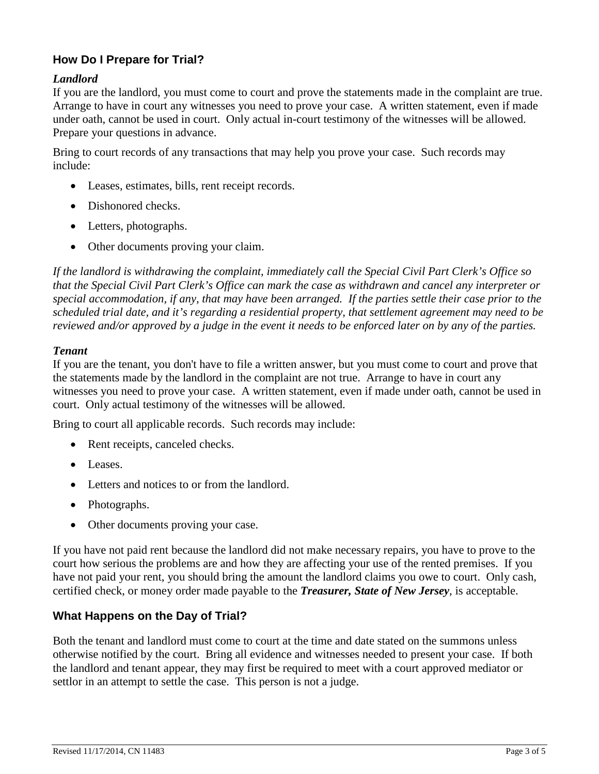# **How Do I Prepare for Trial?**

#### *Landlord*

If you are the landlord, you must come to court and prove the statements made in the complaint are true. Arrange to have in court any witnesses you need to prove your case. A written statement, even if made under oath, cannot be used in court. Only actual in-court testimony of the witnesses will be allowed. Prepare your questions in advance.

Bring to court records of any transactions that may help you prove your case. Such records may include:

- Leases, estimates, bills, rent receipt records.
- Dishonored checks.
- Letters, photographs.
- Other documents proving your claim.

*If the landlord is withdrawing the complaint, immediately call the Special Civil Part Clerk's Office so that the Special Civil Part Clerk's Office can mark the case as withdrawn and cancel any interpreter or special accommodation, if any, that may have been arranged. If the parties settle their case prior to the scheduled trial date, and it's regarding a residential property, that settlement agreement may need to be reviewed and/or approved by a judge in the event it needs to be enforced later on by any of the parties.*

#### *Tenant*

If you are the tenant, you don't have to file a written answer, but you must come to court and prove that the statements made by the landlord in the complaint are not true. Arrange to have in court any witnesses you need to prove your case. A written statement, even if made under oath, cannot be used in court. Only actual testimony of the witnesses will be allowed.

Bring to court all applicable records. Such records may include:

- Rent receipts, canceled checks.
- Leases.
- Letters and notices to or from the landlord.
- Photographs.
- Other documents proving your case.

If you have not paid rent because the landlord did not make necessary repairs, you have to prove to the court how serious the problems are and how they are affecting your use of the rented premises. If you have not paid your rent, you should bring the amount the landlord claims you owe to court. Only cash, certified check, or money order made payable to the *Treasurer, State of New Jersey*, is acceptable.

#### <span id="page-2-0"></span>**What Happens on the Day of Trial?**

Both the tenant and landlord must come to court at the time and date stated on the summons unless otherwise notified by the court. Bring all evidence and witnesses needed to present your case. If both the landlord and tenant appear, they may first be required to meet with a court approved mediator or settlor in an attempt to settle the case. This person is not a judge.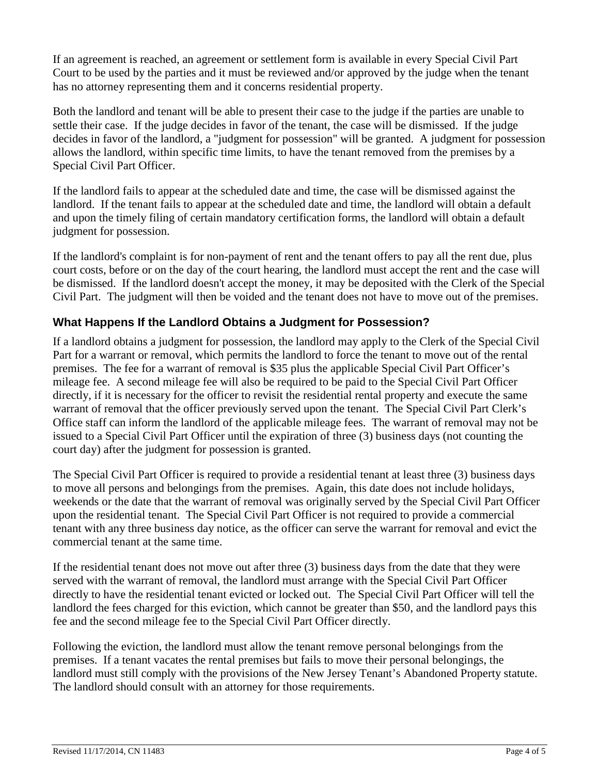If an agreement is reached, an agreement or settlement form is available in every Special Civil Part Court to be used by the parties and it must be reviewed and/or approved by the judge when the tenant has no attorney representing them and it concerns residential property.

Both the landlord and tenant will be able to present their case to the judge if the parties are unable to settle their case. If the judge decides in favor of the tenant, the case will be dismissed. If the judge decides in favor of the landlord, a "judgment for possession" will be granted. A judgment for possession allows the landlord, within specific time limits, to have the tenant removed from the premises by a Special Civil Part Officer.

If the landlord fails to appear at the scheduled date and time, the case will be dismissed against the landlord. If the tenant fails to appear at the scheduled date and time, the landlord will obtain a default and upon the timely filing of certain mandatory certification forms, the landlord will obtain a default judgment for possession.

If the landlord's complaint is for non-payment of rent and the tenant offers to pay all the rent due, plus court costs, before or on the day of the court hearing, the landlord must accept the rent and the case will be dismissed. If the landlord doesn't accept the money, it may be deposited with the Clerk of the Special Civil Part. The judgment will then be voided and the tenant does not have to move out of the premises.

# <span id="page-3-0"></span>**What Happens If the Landlord Obtains a Judgment for Possession?**

If a landlord obtains a judgment for possession, the landlord may apply to the Clerk of the Special Civil Part for a warrant or removal, which permits the landlord to force the tenant to move out of the rental premises. The fee for a warrant of removal is \$35 plus the applicable Special Civil Part Officer's mileage fee. A second mileage fee will also be required to be paid to the Special Civil Part Officer directly, if it is necessary for the officer to revisit the residential rental property and execute the same warrant of removal that the officer previously served upon the tenant. The Special Civil Part Clerk's Office staff can inform the landlord of the applicable mileage fees. The warrant of removal may not be issued to a Special Civil Part Officer until the expiration of three (3) business days (not counting the court day) after the judgment for possession is granted.

The Special Civil Part Officer is required to provide a residential tenant at least three (3) business days to move all persons and belongings from the premises. Again, this date does not include holidays, weekends or the date that the warrant of removal was originally served by the Special Civil Part Officer upon the residential tenant. The Special Civil Part Officer is not required to provide a commercial tenant with any three business day notice, as the officer can serve the warrant for removal and evict the commercial tenant at the same time.

If the residential tenant does not move out after three (3) business days from the date that they were served with the warrant of removal, the landlord must arrange with the Special Civil Part Officer directly to have the residential tenant evicted or locked out. The Special Civil Part Officer will tell the landlord the fees charged for this eviction, which cannot be greater than \$50, and the landlord pays this fee and the second mileage fee to the Special Civil Part Officer directly.

Following the eviction, the landlord must allow the tenant remove personal belongings from the premises. If a tenant vacates the rental premises but fails to move their personal belongings, the landlord must still comply with the provisions of the New Jersey Tenant's Abandoned Property statute. The landlord should consult with an attorney for those requirements.